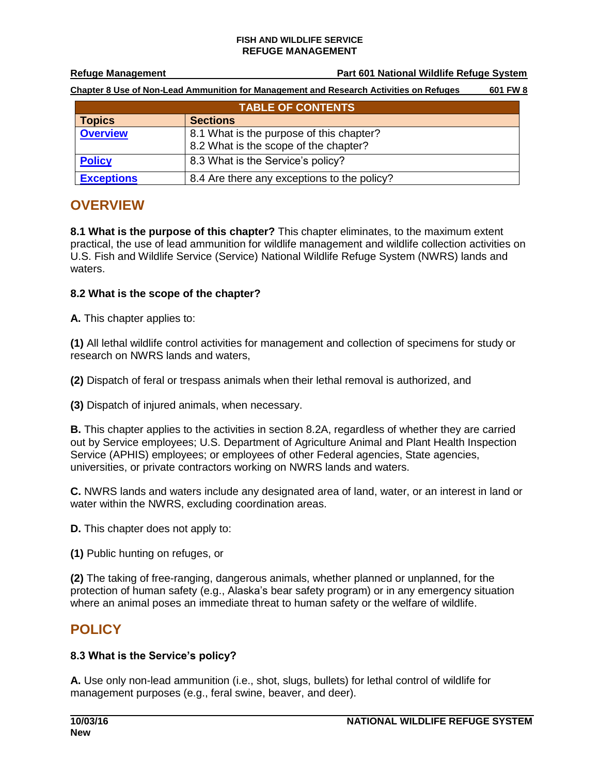#### **FISH AND WILDLIFE SERVICE REFUGE MANAGEMENT**

**Refuge Management Part 601 National Wildlife Refuge System**

**Chapter 8 Use of Non-Lead Ammunition for Management and Research Activities on Refuges 601 FW 8**

| <b>TABLE OF CONTENTS</b> |                                                                                   |
|--------------------------|-----------------------------------------------------------------------------------|
| <b>Topics</b>            | <b>Sections</b>                                                                   |
| <b>Overview</b>          | 8.1 What is the purpose of this chapter?<br>8.2 What is the scope of the chapter? |
| <b>Policy</b>            | 8.3 What is the Service's policy?                                                 |
| <b>Exceptions</b>        | 8.4 Are there any exceptions to the policy?                                       |

# <span id="page-0-0"></span>**OVERVIEW**

**8.1 What is the purpose of this chapter?** This chapter eliminates, to the maximum extent practical, the use of lead ammunition for wildlife management and wildlife collection activities on U.S. Fish and Wildlife Service (Service) National Wildlife Refuge System (NWRS) lands and waters.

### **8.2 What is the scope of the chapter?**

**A.** This chapter applies to:

**(1)** All lethal wildlife control activities for management and collection of specimens for study or research on NWRS lands and waters,

**(2)** Dispatch of feral or trespass animals when their lethal removal is authorized, and

**(3)** Dispatch of injured animals, when necessary.

**B.** This chapter applies to the activities in section 8.2A, regardless of whether they are carried out by Service employees; U.S. Department of Agriculture Animal and Plant Health Inspection Service (APHIS) employees; or employees of other Federal agencies, State agencies, universities, or private contractors working on NWRS lands and waters.

**C.** NWRS lands and waters include any designated area of land, water, or an interest in land or water within the NWRS, excluding coordination areas.

**D.** This chapter does not apply to:

**(1)** Public hunting on refuges, or

**(2)** The taking of free-ranging, dangerous animals, whether planned or unplanned, for the protection of human safety (e.g., Alaska's bear safety program) or in any emergency situation where an animal poses an immediate threat to human safety or the welfare of wildlife.

## <span id="page-0-1"></span>**POLICY**

### **8.3 What is the Service's policy?**

**A.** Use only non-lead ammunition (i.e., shot, slugs, bullets) for lethal control of wildlife for management purposes (e.g., feral swine, beaver, and deer).